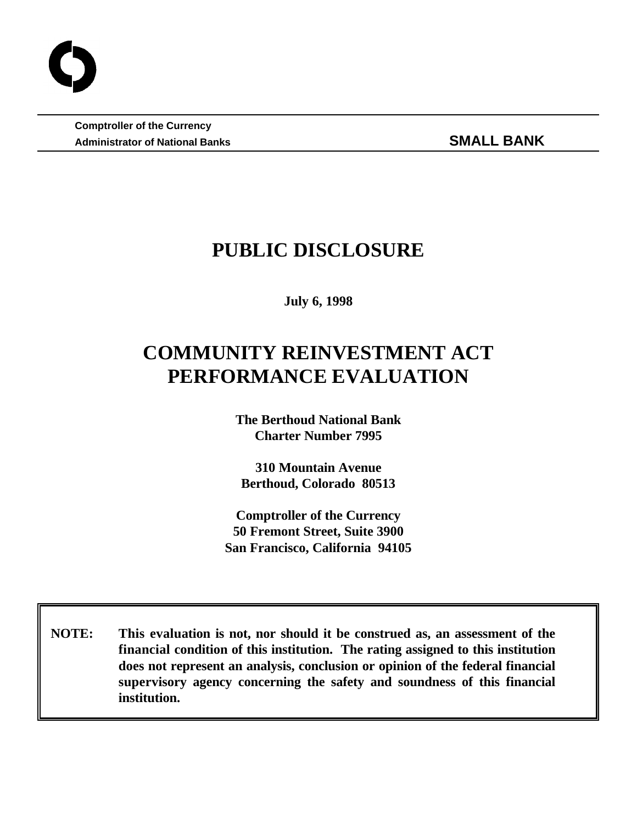**Comptroller of the Currency** Administrator of National Banks **SMALL BANK** 

# **PUBLIC DISCLOSURE**

**July 6, 1998**

# **COMMUNITY REINVESTMENT ACT PERFORMANCE EVALUATION**

**The Berthoud National Bank Charter Number 7995**

**310 Mountain Avenue Berthoud, Colorado 80513**

**Comptroller of the Currency 50 Fremont Street, Suite 3900 San Francisco, California 94105**

 **NOTE: This evaluation is not, nor should it be construed as, an assessment of the financial condition of this institution. The rating assigned to this institution does not represent an analysis, conclusion or opinion of the federal financial supervisory agency concerning the safety and soundness of this financial institution.**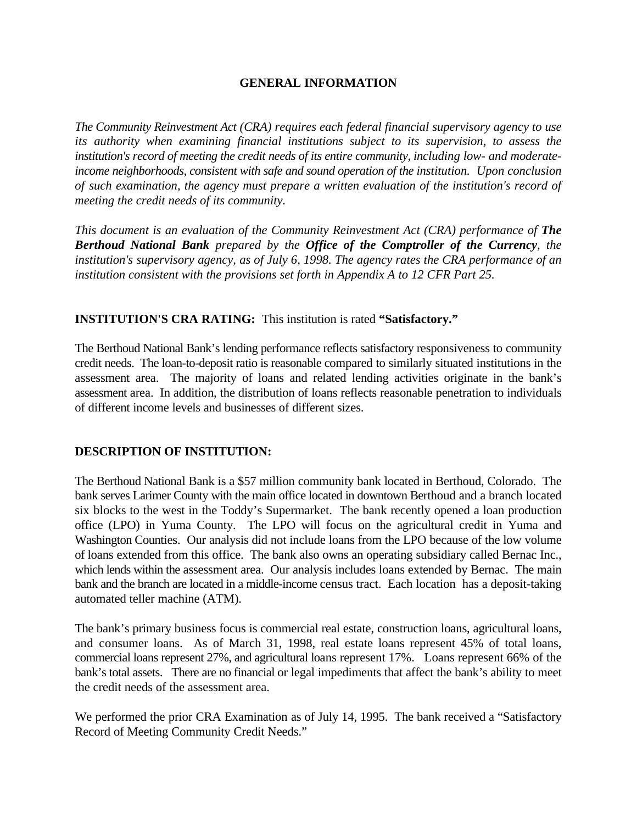#### **GENERAL INFORMATION**

*The Community Reinvestment Act (CRA) requires each federal financial supervisory agency to use its authority when examining financial institutions subject to its supervision, to assess the institution's record of meeting the credit needs of its entire community, including low- and moderateincome neighborhoods, consistent with safe and sound operation of the institution. Upon conclusion of such examination, the agency must prepare a written evaluation of the institution's record of meeting the credit needs of its community.* 

*This document is an evaluation of the Community Reinvestment Act (CRA) performance of The Berthoud National Bank prepared by the Office of the Comptroller of the Currency, the institution's supervisory agency, as of July 6, 1998. The agency rates the CRA performance of an institution consistent with the provisions set forth in Appendix A to 12 CFR Part 25.*

#### **INSTITUTION'S CRA RATING:** This institution is rated **"Satisfactory."**

The Berthoud National Bank's lending performance reflects satisfactory responsiveness to community credit needs. The loan-to-deposit ratio is reasonable compared to similarly situated institutions in the assessment area. The majority of loans and related lending activities originate in the bank's assessment area. In addition, the distribution of loans reflects reasonable penetration to individuals of different income levels and businesses of different sizes.

#### **DESCRIPTION OF INSTITUTION:**

The Berthoud National Bank is a \$57 million community bank located in Berthoud, Colorado. The bank serves Larimer County with the main office located in downtown Berthoud and a branch located six blocks to the west in the Toddy's Supermarket. The bank recently opened a loan production office (LPO) in Yuma County. The LPO will focus on the agricultural credit in Yuma and Washington Counties. Our analysis did not include loans from the LPO because of the low volume of loans extended from this office. The bank also owns an operating subsidiary called Bernac Inc., which lends within the assessment area. Our analysis includes loans extended by Bernac. The main bank and the branch are located in a middle-income census tract. Each location has a deposit-taking automated teller machine (ATM).

The bank's primary business focus is commercial real estate, construction loans, agricultural loans, and consumer loans. As of March 31, 1998, real estate loans represent 45% of total loans, commercial loans represent 27%, and agricultural loans represent 17%. Loans represent 66% of the bank's total assets. There are no financial or legal impediments that affect the bank's ability to meet the credit needs of the assessment area.

We performed the prior CRA Examination as of July 14, 1995. The bank received a "Satisfactory Record of Meeting Community Credit Needs."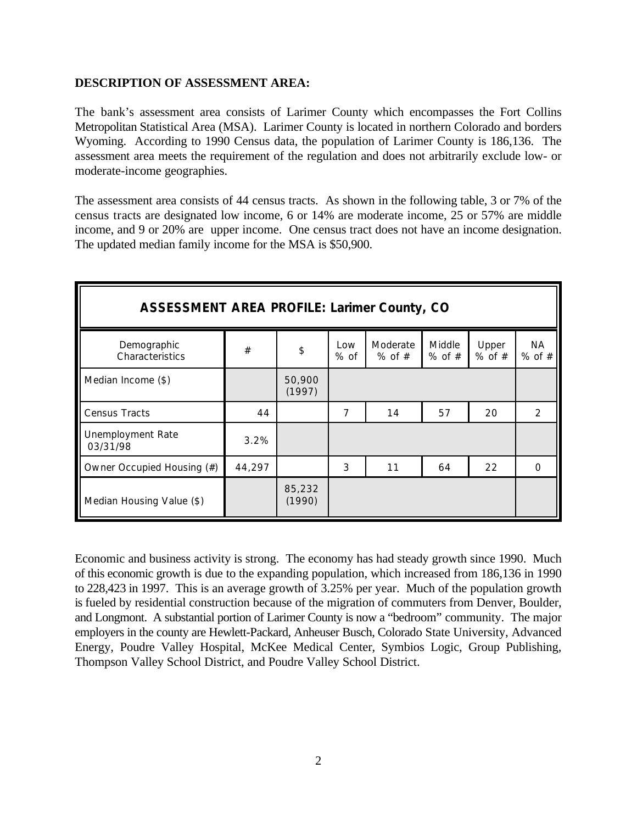#### **DESCRIPTION OF ASSESSMENT AREA:**

The bank's assessment area consists of Larimer County which encompasses the Fort Collins Metropolitan Statistical Area (MSA). Larimer County is located in northern Colorado and borders Wyoming. According to 1990 Census data, the population of Larimer County is 186,136. The assessment area meets the requirement of the regulation and does not arbitrarily exclude low- or moderate-income geographies.

The assessment area consists of 44 census tracts. As shown in the following table, 3 or 7% of the census tracts are designated low income, 6 or 14% are moderate income, 25 or 57% are middle income, and 9 or 20% are upper income. One census tract does not have an income designation. The updated median family income for the MSA is \$50,900.

| <b>ASSESSMENT AREA PROFILE: Larimer County, CO</b> |        |                  |             |                        |                      |                     |                  |
|----------------------------------------------------|--------|------------------|-------------|------------------------|----------------------|---------------------|------------------|
| Demographic<br>Characteristics                     | $\#$   | \$               | Low<br>% of | Moderate<br>$%$ of $#$ | Middle<br>$%$ of $#$ | Upper<br>$%$ of $#$ | NА<br>$%$ of $#$ |
| Median Income (\$)                                 |        | 50,900<br>(1997) |             |                        |                      |                     |                  |
| <b>Census Tracts</b>                               | 44     |                  | 7           | 14                     | 57                   | 20                  | 2                |
| Unemployment Rate<br>03/31/98                      | 3.2%   |                  |             |                        |                      |                     |                  |
| Owner Occupied Housing (#)                         | 44,297 |                  | 3           | 11                     | 64                   | 22                  | $\Omega$         |
| Median Housing Value (\$)                          |        | 85,232<br>(1990) |             |                        |                      |                     |                  |

Economic and business activity is strong. The economy has had steady growth since 1990. Much of this economic growth is due to the expanding population, which increased from 186,136 in 1990 to 228,423 in 1997. This is an average growth of 3.25% per year. Much of the population growth is fueled by residential construction because of the migration of commuters from Denver, Boulder, and Longmont. A substantial portion of Larimer County is now a "bedroom" community. The major employers in the county are Hewlett-Packard, Anheuser Busch, Colorado State University, Advanced Energy, Poudre Valley Hospital, McKee Medical Center, Symbios Logic, Group Publishing, Thompson Valley School District, and Poudre Valley School District.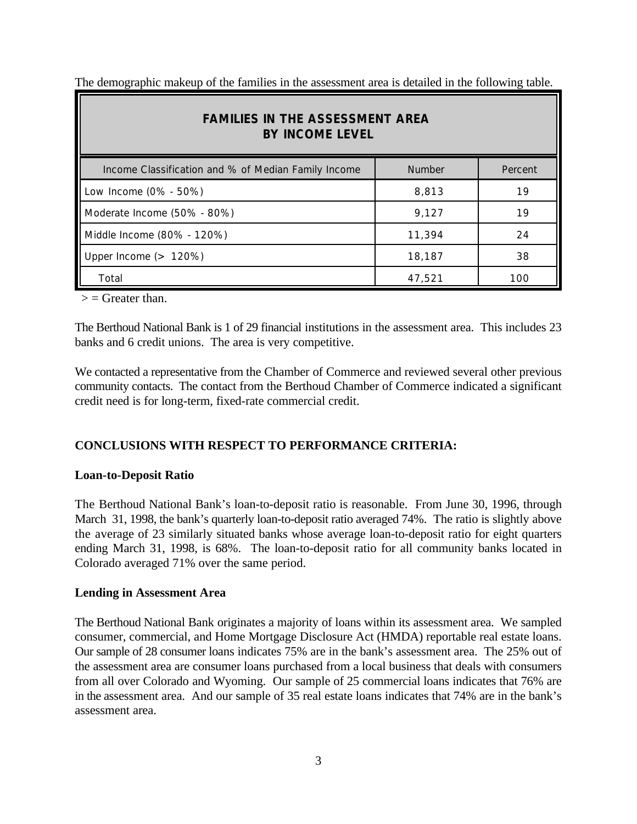The demographic makeup of the families in the assessment area is detailed in the following table.

| <b>FAMILIES IN THE ASSESSMENT AREA</b><br><b>BY INCOME LEVEL</b> |               |         |  |  |  |
|------------------------------------------------------------------|---------------|---------|--|--|--|
| Income Classification and % of Median Family Income              | <b>Number</b> | Percent |  |  |  |
| Low Income (0% - 50%)                                            | 8,813         | 19      |  |  |  |
| Moderate Income (50% - 80%)                                      | 9,127         | 19      |  |  |  |
| Middle Income (80% - 120%)<br>Ш                                  | 11,394        | 24      |  |  |  |
| Upper Income $($ > 120%)                                         | 18,187        | 38      |  |  |  |
| Total                                                            | 47,521        | 100     |  |  |  |

 $\geq$  = Greater than.

The Berthoud National Bank is 1 of 29 financial institutions in the assessment area. This includes 23 banks and 6 credit unions. The area is very competitive.

We contacted a representative from the Chamber of Commerce and reviewed several other previous community contacts. The contact from the Berthoud Chamber of Commerce indicated a significant credit need is for long-term, fixed-rate commercial credit.

# **CONCLUSIONS WITH RESPECT TO PERFORMANCE CRITERIA:**

#### **Loan-to-Deposit Ratio**

The Berthoud National Bank's loan-to-deposit ratio is reasonable. From June 30, 1996, through March 31, 1998, the bank's quarterly loan-to-deposit ratio averaged 74%. The ratio is slightly above the average of 23 similarly situated banks whose average loan-to-deposit ratio for eight quarters ending March 31, 1998, is 68%. The loan-to-deposit ratio for all community banks located in Colorado averaged 71% over the same period.

#### **Lending in Assessment Area**

The Berthoud National Bank originates a majority of loans within its assessment area. We sampled consumer, commercial, and Home Mortgage Disclosure Act (HMDA) reportable real estate loans. Our sample of 28 consumer loans indicates 75% are in the bank's assessment area. The 25% out of the assessment area are consumer loans purchased from a local business that deals with consumers from all over Colorado and Wyoming. Our sample of 25 commercial loans indicates that 76% are in the assessment area. And our sample of 35 real estate loans indicates that 74% are in the bank's assessment area.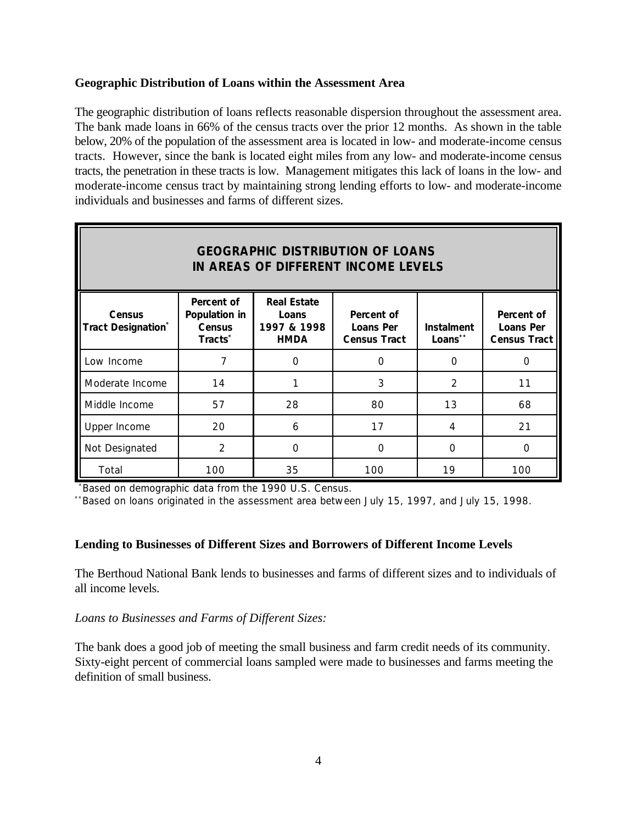#### **Geographic Distribution of Loans within the Assessment Area**

The geographic distribution of loans reflects reasonable dispersion throughout the assessment area. The bank made loans in 66% of the census tracts over the prior 12 months. As shown in the table below, 20% of the population of the assessment area is located in low- and moderate-income census tracts. However, since the bank is located eight miles from any low- and moderate-income census tracts, the penetration in these tracts is low. Management mitigates this lack of loans in the low- and moderate-income census tract by maintaining strong lending efforts to low- and moderate-income individuals and businesses and farms of different sizes.

| <b>GEOGRAPHIC DISTRIBUTION OF LOANS</b><br>IN AREAS OF DIFFERENT INCOME LEVELS |                                                                     |                                                           |                                                       |                              |                                                |  |
|--------------------------------------------------------------------------------|---------------------------------------------------------------------|-----------------------------------------------------------|-------------------------------------------------------|------------------------------|------------------------------------------------|--|
| <b>Census</b><br><b>Tract Designation*</b>                                     | Percent of<br>Population in<br><b>Census</b><br>Tracts <sup>*</sup> | <b>Real Estate</b><br>Loans<br>1997 & 1998<br><b>HMDA</b> | Percent of<br><b>Loans Per</b><br><b>Census Tract</b> | <b>Instalment</b><br>Loans** | Percent of<br>Loans Per<br><b>Census Tract</b> |  |
| Low Income                                                                     | 7                                                                   | $\Omega$                                                  | $\Omega$                                              | $\Omega$                     | 0                                              |  |
| Moderate Income                                                                | 14                                                                  |                                                           | 3                                                     | $\mathcal{P}$                | 11                                             |  |
| Middle Income                                                                  | 57                                                                  | 28                                                        | 80                                                    | 13                           | 68                                             |  |
| Upper Income                                                                   | 20                                                                  | 6                                                         | 17                                                    | 4                            | 21                                             |  |
| Not Designated                                                                 | 2                                                                   | $\Omega$                                                  | 0                                                     | O                            | 0                                              |  |
| Total                                                                          | 100                                                                 | 35                                                        | 100                                                   | 19                           | 100                                            |  |

\*Based on demographic data from the 1990 U.S. Census.

 $*$ Based on loans originated in the assessment area between July 15, 1997, and July 15, 1998.

#### **Lending to Businesses of Different Sizes and Borrowers of Different Income Levels**

The Berthoud National Bank lends to businesses and farms of different sizes and to individuals of all income levels.

*Loans to Businesses and Farms of Different Sizes:*

The bank does a good job of meeting the small business and farm credit needs of its community. Sixty-eight percent of commercial loans sampled were made to businesses and farms meeting the definition of small business.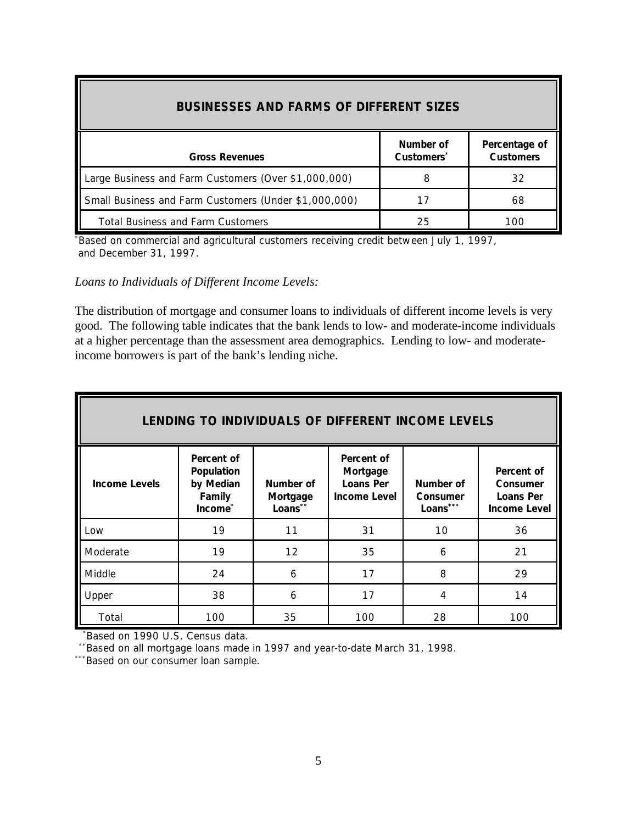| <b>BUSINESSES AND FARMS OF DIFFERENT SIZES</b>        |                                     |                                   |  |  |  |
|-------------------------------------------------------|-------------------------------------|-----------------------------------|--|--|--|
| <b>Gross Revenues</b>                                 | Number of<br>Customers <sup>'</sup> | Percentage of<br><b>Customers</b> |  |  |  |
| Large Business and Farm Customers (Over \$1,000,000)  | 8                                   | 32                                |  |  |  |
| Small Business and Farm Customers (Under \$1,000,000) | 17                                  | 68                                |  |  |  |
| <b>Total Business and Farm Customers</b>              | 25                                  | 100                               |  |  |  |

\*Based on commercial and agricultural customers receiving credit between July 1, 1997, and December 31, 1997.

*Loans to Individuals of Different Income Levels:*

The distribution of mortgage and consumer loans to individuals of different income levels is very good. The following table indicates that the bank lends to low- and moderate-income individuals at a higher percentage than the assessment area demographics. Lending to low- and moderateincome borrowers is part of the bank's lending niche.

| LENDING TO INDIVIDUALS OF DIFFERENT INCOME LEVELS |                                                            |                                  |                                                            |                                   |                                                                   |  |
|---------------------------------------------------|------------------------------------------------------------|----------------------------------|------------------------------------------------------------|-----------------------------------|-------------------------------------------------------------------|--|
| <b>Income Levels</b>                              | Percent of<br>Population<br>by Median<br>Family<br>Income* | Number of<br>Mortgage<br>Loans** | Percent of<br>Mortgage<br>Loans Per<br><b>Income Level</b> | Number of<br>Consumer<br>Loans*** | Percent of<br><b>Consumer</b><br>Loans Per<br><b>Income Level</b> |  |
| Low                                               | 19                                                         | 11                               | 31                                                         | 10                                | 36                                                                |  |
| Moderate                                          | 19                                                         | 12                               | 35                                                         | 6                                 | 21                                                                |  |
| Middle                                            | 24                                                         | 6                                | 17                                                         | 8                                 | 29                                                                |  |
| Upper                                             | 38                                                         | 6                                | 17                                                         | 4                                 | 14                                                                |  |
| Total                                             | 100                                                        | 35                               | 100                                                        | 28                                | 100                                                               |  |

Based on 1990 U.S. Census data.

\*\*Based on all mortgage loans made in 1997 and year-to-date March 31, 1998.

\*\*\*Based on our consumer loan sample.